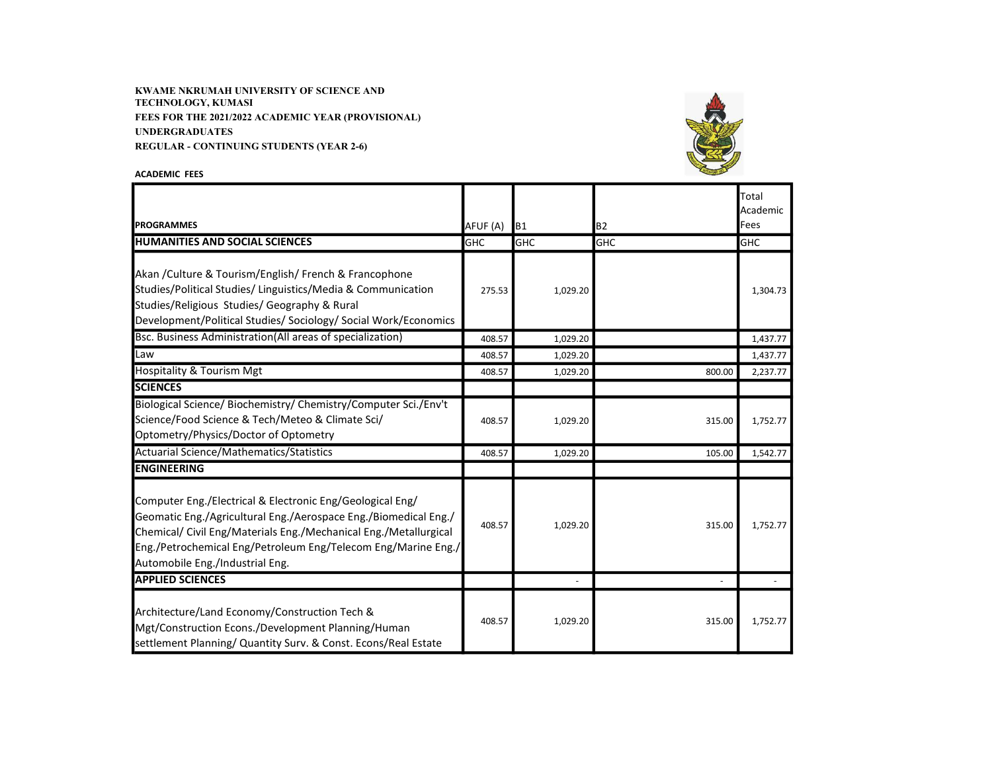KWAME NKRUMAH UNIVERSITY OF SCIENCE AND TECHNOLOGY, KUMASI FEES FOR THE 2021/2022 ACADEMIC YEAR (PROVISIONAL) UNDERGRADUATES REGULAR - CONTINUING STUDENTS (YEAR 2-6)



ACADEMIC FEES

| <b>PROGRAMMES</b>                                                                                                                                                                                                                                                                                    | AFUF (A)   | B <sub>1</sub> | <b>B2</b>  | Total<br>Academic<br>Fees |
|------------------------------------------------------------------------------------------------------------------------------------------------------------------------------------------------------------------------------------------------------------------------------------------------------|------------|----------------|------------|---------------------------|
| <b>HUMANITIES AND SOCIAL SCIENCES</b>                                                                                                                                                                                                                                                                | <b>GHC</b> | GHC            | <b>GHC</b> | <b>GHC</b>                |
| Akan / Culture & Tourism/English/ French & Francophone<br>Studies/Political Studies/ Linguistics/Media & Communication<br>Studies/Religious Studies/ Geography & Rural<br>Development/Political Studies/ Sociology/ Social Work/Economics                                                            | 275.53     | 1,029.20       |            | 1,304.73                  |
| Bsc. Business Administration(All areas of specialization)                                                                                                                                                                                                                                            | 408.57     | 1,029.20       |            | 1,437.77                  |
| Law                                                                                                                                                                                                                                                                                                  | 408.57     | 1,029.20       |            | 1,437.77                  |
| <b>Hospitality &amp; Tourism Mgt</b>                                                                                                                                                                                                                                                                 | 408.57     | 1,029.20       | 800.00     | 2,237.77                  |
| <b>SCIENCES</b>                                                                                                                                                                                                                                                                                      |            |                |            |                           |
| Biological Science/ Biochemistry/ Chemistry/Computer Sci./Env't<br>Science/Food Science & Tech/Meteo & Climate Sci/<br>Optometry/Physics/Doctor of Optometry                                                                                                                                         | 408.57     | 1,029.20       | 315.00     | 1,752.77                  |
| Actuarial Science/Mathematics/Statistics                                                                                                                                                                                                                                                             | 408.57     | 1,029.20       | 105.00     | 1,542.77                  |
| <b>ENGINEERING</b>                                                                                                                                                                                                                                                                                   |            |                |            |                           |
| Computer Eng./Electrical & Electronic Eng/Geological Eng/<br>Geomatic Eng./Agricultural Eng./Aerospace Eng./Biomedical Eng./<br>Chemical/ Civil Eng/Materials Eng./Mechanical Eng./Metallurgical<br>Eng./Petrochemical Eng/Petroleum Eng/Telecom Eng/Marine Eng./<br>Automobile Eng./Industrial Eng. | 408.57     | 1,029.20       | 315.00     | 1,752.77                  |
| <b>APPLIED SCIENCES</b>                                                                                                                                                                                                                                                                              |            |                |            |                           |
| Architecture/Land Economy/Construction Tech &<br>Mgt/Construction Econs./Development Planning/Human<br>settlement Planning/ Quantity Surv. & Const. Econs/Real Estate                                                                                                                                | 408.57     | 1,029.20       | 315.00     | 1,752.77                  |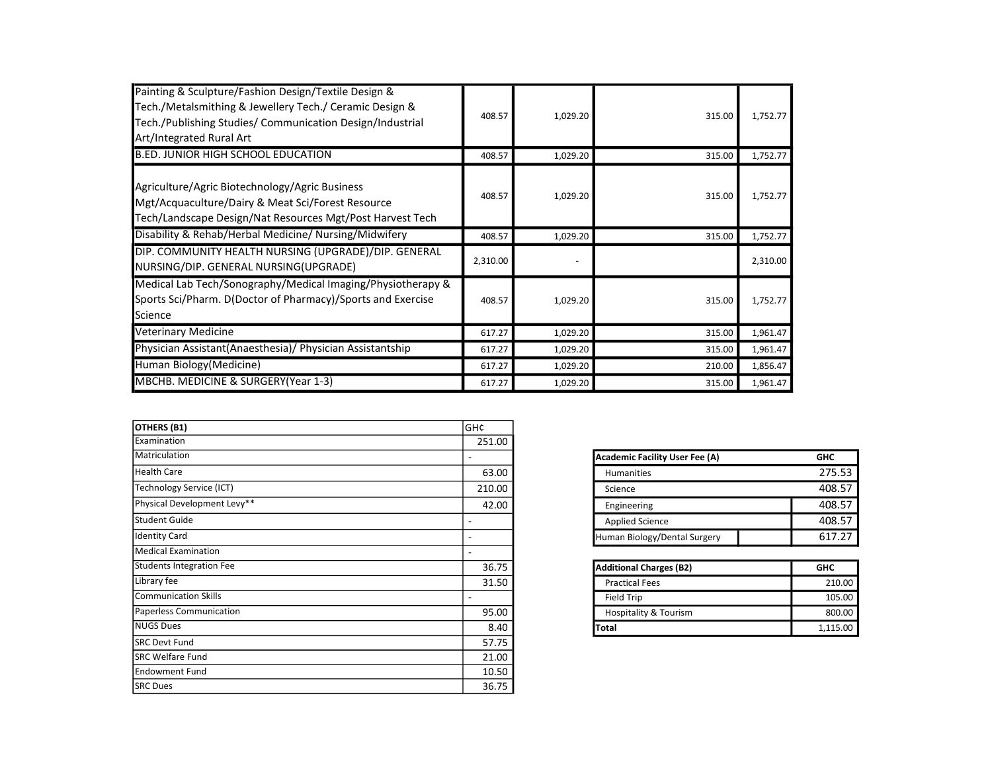| Painting & Sculpture/Fashion Design/Textile Design &<br>Tech./Metalsmithing & Jewellery Tech./ Ceramic Design &<br>Tech./Publishing Studies/ Communication Design/Industrial<br>Art/Integrated Rural Art | 408.57   | 1,029.20 | 315.00 | 1,752.77 |
|----------------------------------------------------------------------------------------------------------------------------------------------------------------------------------------------------------|----------|----------|--------|----------|
| <b>B.ED. JUNIOR HIGH SCHOOL EDUCATION</b>                                                                                                                                                                | 408.57   | 1,029.20 | 315.00 | 1,752.77 |
| Agriculture/Agric Biotechnology/Agric Business<br>Mgt/Acquaculture/Dairy & Meat Sci/Forest Resource<br>Tech/Landscape Design/Nat Resources Mgt/Post Harvest Tech                                         | 408.57   | 1,029.20 | 315.00 | 1,752.77 |
| Disability & Rehab/Herbal Medicine/ Nursing/Midwifery                                                                                                                                                    | 408.57   | 1,029.20 | 315.00 | 1,752.77 |
| DIP. COMMUNITY HEALTH NURSING (UPGRADE)/DIP. GENERAL<br>NURSING/DIP. GENERAL NURSING(UPGRADE)                                                                                                            | 2,310.00 |          |        | 2,310.00 |
| Medical Lab Tech/Sonography/Medical Imaging/Physiotherapy &<br>Sports Sci/Pharm. D(Doctor of Pharmacy)/Sports and Exercise<br>Science                                                                    | 408.57   | 1,029.20 | 315.00 | 1,752.77 |
| Veterinary Medicine                                                                                                                                                                                      | 617.27   | 1,029.20 | 315.00 | 1,961.47 |
| Physician Assistant(Anaesthesia)/ Physician Assistantship                                                                                                                                                | 617.27   | 1,029.20 | 315.00 | 1,961.47 |
| Human Biology (Medicine)                                                                                                                                                                                 | 617.27   | 1,029.20 | 210.00 | 1,856.47 |
| MBCHB. MEDICINE & SURGERY(Year 1-3)                                                                                                                                                                      | 617.27   | 1,029.20 | 315.00 | 1,961.47 |

| <b>OTHERS (B1)</b>              | GH¢    |                                       |            |
|---------------------------------|--------|---------------------------------------|------------|
| Examination                     | 251.00 |                                       |            |
| Matriculation                   |        | <b>Academic Facility User Fee (A)</b> | <b>GHC</b> |
| <b>Health Care</b>              | 63.00  | <b>Humanities</b>                     | 275.53     |
| Technology Service (ICT)        | 210.00 | Science                               | 408.57     |
| Physical Development Levy**     | 42.00  | Engineering                           | 408.57     |
| lStudent Guide                  |        | <b>Applied Science</b>                | 408.57     |
| <b>Identity Card</b>            | -      | Human Biology/Dental Surgery          | 617.27     |
| <b>Medical Examination</b>      |        |                                       |            |
| <b>Students Integration Fee</b> | 36.75  | <b>Additional Charges (B2)</b>        | <b>GHC</b> |
| Library fee                     | 31.50  | <b>Practical Fees</b>                 | 210.00     |
| Communication Skills            |        | <b>Field Trip</b>                     | 105.00     |
| Paperless Communication         | 95.00  | <b>Hospitality &amp; Tourism</b>      | 800.00     |
| NUGS Dues                       | 8.40   | Total                                 | 1,115.00   |
| <b>SRC Devt Fund</b>            | 57.75  |                                       |            |
| <b>SRC Welfare Fund</b>         | 21.00  |                                       |            |
| Endowment Fund                  | 10.50  |                                       |            |
| <b>SRC Dues</b>                 | 36.75  |                                       |            |
|                                 |        |                                       |            |

| <b>Academic Facility User Fee (A)</b><br><b>GHC</b> |        |
|-----------------------------------------------------|--------|
| <b>Humanities</b>                                   | 275.53 |
| Science                                             | 408.57 |
| Engineering                                         | 408.57 |
| <b>Applied Science</b>                              | 408.57 |
| Human Biology/Dental Surgery                        | 617.27 |

| <b>Additional Charges (B2)</b>   | <b>GHC</b> |  |
|----------------------------------|------------|--|
| <b>Practical Fees</b>            | 210.00     |  |
| <b>Field Trip</b>                | 105.00     |  |
| <b>Hospitality &amp; Tourism</b> | 800.00     |  |
| Total                            | 1.115.00   |  |